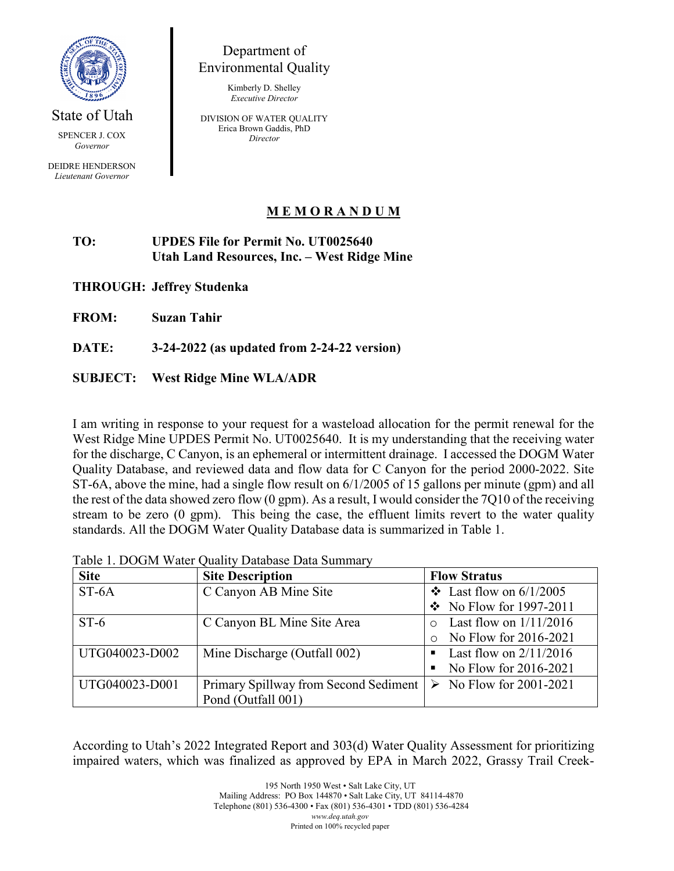

State of Utah

*Governor*

DEIDRE HENDERSON *Lieutenant Governor*

## Department of Environmental Quality

Kimberly D. Shelley *Executive Director*

DIVISION OF WATER QUALITY Erica Brown Gaddis, PhD **Director** SPENCER J. COX *Director* 

## **M E M O R A N D U M**

## **TO: UPDES File for Permit No. UT0025640 Utah Land Resources, Inc. – West Ridge Mine**

**THROUGH: Jeffrey Studenka**

**FROM: Suzan Tahir**

**DATE: 3-24-2022 (as updated from 2-24-22 version)**

## **SUBJECT: West Ridge Mine WLA/ADR**

I am writing in response to your request for a wasteload allocation for the permit renewal for the West Ridge Mine UPDES Permit No. UT0025640. It is my understanding that the receiving water for the discharge, C Canyon, is an ephemeral or intermittent drainage. I accessed the DOGM Water Quality Database, and reviewed data and flow data for C Canyon for the period 2000-2022. Site ST-6A, above the mine, had a single flow result on 6/1/2005 of 15 gallons per minute (gpm) and all the rest of the data showed zero flow (0 gpm). As a result, I would consider the 7Q10 of the receiving stream to be zero (0 gpm). This being the case, the effluent limits revert to the water quality standards. All the DOGM Water Quality Database data is summarized in Table 1.

| <b>Site</b>    | <b>Site Description</b>               | <b>Flow Stratus</b>                    |
|----------------|---------------------------------------|----------------------------------------|
| $ST-6A$        | C Canyon AB Mine Site                 | $\div$ Last flow on 6/1/2005           |
|                |                                       | $\div$ No Flow for 1997-2011           |
| $ST-6$         | C Canyon BL Mine Site Area            | Last flow on $1/11/2016$               |
|                |                                       | No Flow for 2016-2021                  |
| UTG040023-D002 | Mine Discharge (Outfall 002)          | Last flow on $2/11/2016$<br>п          |
|                |                                       | No Flow for 2016-2021<br>٠             |
| UTG040023-D001 | Primary Spillway from Second Sediment | $\triangleright$ No Flow for 2001-2021 |
|                | Pond (Outfall 001)                    |                                        |

Table 1. DOGM Water Quality Database Data Summary

According to Utah's 2022 Integrated Report and 303(d) Water Quality Assessment for prioritizing impaired waters, which was finalized as approved by EPA in March 2022, Grassy Trail Creek